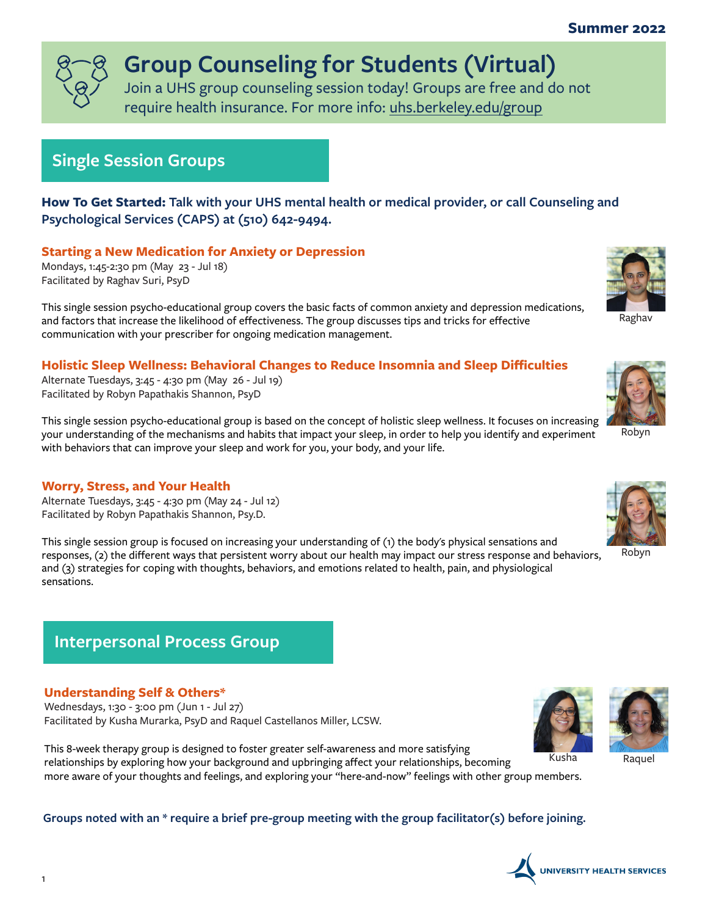### **Summer 2022**



# **Group Counseling for Students (Virtual)**

Join a UHS group counseling session today! Groups are free and do not require health insurance. For more info: [uhs.berkeley.edu/group](https://uhs.berkeley.edu/counseling/group)

## **Single Session Groups**



Raghav

**How To Get Started: Talk with your UHS mental health or medical provider, or call Counseling and Psychological Services (CAPS) at (510) 642-9494.**

**Starting a New Medication for Anxiety or Depression**

Mondays, 1:45-2:30 pm (May 23 - Jul 18) Facilitated by Raghav Suri, PsyD

This single session psycho-educational group covers the basic facts of common anxiety and depression medications, and factors that increase the likelihood of effectiveness. The group discusses tips and tricks for effective communication with your prescriber for ongoing medication management.

### **Holistic Sleep Wellness: Behavioral Changes to Reduce Insomnia and Sleep Difficulties**

Alternate Tuesdays, 3:45 - 4:30 pm (May 26 - Jul 19) Facilitated by Robyn Papathakis Shannon, PsyD

This single session psycho-educational group is based on the concept of holistic sleep wellness. It focuses on increasing your understanding of the mechanisms and habits that impact your sleep, in order to help you identify and experiment with behaviors that can improve your sleep and work for you, your body, and your life.

### **Worry, Stress, and Your Health**

Alternate Tuesdays, 3:45 - 4:30 pm (May 24 - Jul 12) Facilitated by Robyn Papathakis Shannon, Psy.D.

This single session group is focused on increasing your understanding of (1) the body's physical sensations and responses, (2) the different ways that persistent worry about our health may impact our stress response and behaviors, and (3) strategies for coping with thoughts, behaviors, and emotions related to health, pain, and physiological sensations.



### **Understanding Self & Others\***

Wednesdays, 1:30 - 3:00 pm (Jun 1 - Jul 27) Facilitated by Kusha Murarka, PsyD and Raquel Castellanos Miller, LCSW.

This 8-week therapy group is designed to foster greater self-awareness and more satisfying relationships by exploring how your background and upbringing affect your relationships, becoming more aware of your thoughts and feelings, and exploring your "here-and-now" feelings with other group members.





Kusha Raquel

## **Groups noted with an \* require a brief pre-group meeting with the group facilitator(s) before joining.**





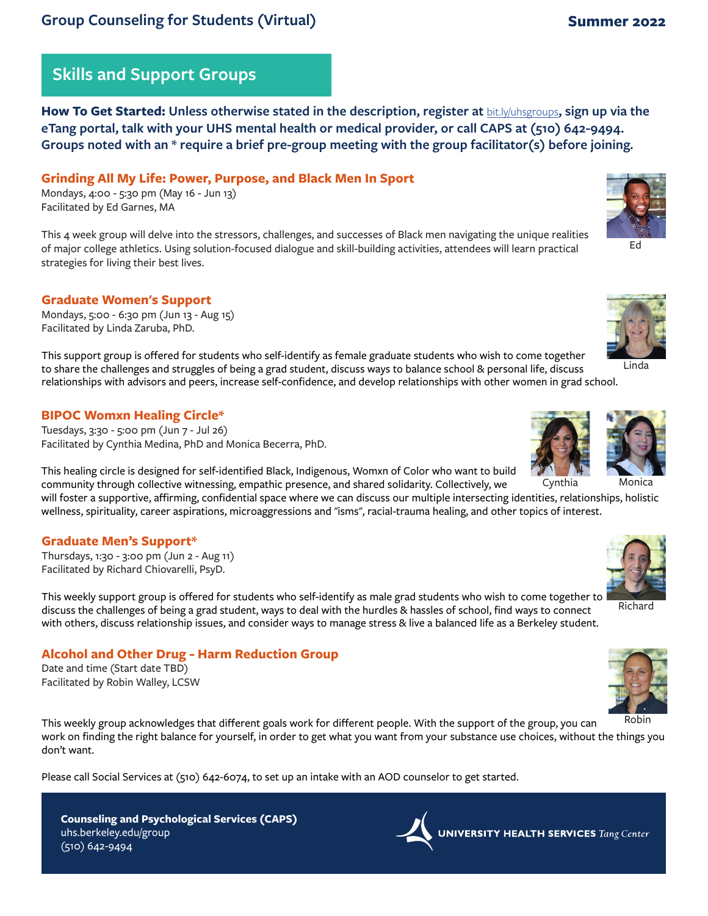**How To Get Started: Unless otherwise stated in the description, register at** [bit.ly/uhsgroups](https://bit.ly/uhsgroups)**, sign up via the eTang portal, talk with your UHS mental health or medical provider, or call CAPS at (510) 642-9494. Groups noted with an \* require a brief pre-group meeting with the group facilitator(s) before joining.**

#### **Grinding All My Life: Power, Purpose, and Black Men In Sport**

Mondays, 4:00 - 5:30 pm (May 16 - Jun 13) Facilitated by Ed Garnes, MA

This 4 week group will delve into the stressors, challenges, and successes of Black men navigating the unique realities of major college athletics. Using solution-focused dialogue and skill-building activities, attendees will learn practical strategies for living their best lives.

#### **Graduate Women's Support**

Mondays, 5:00 - 6:30 pm (Jun 13 - Aug 15) Facilitated by Linda Zaruba, PhD.

This support group is offered for students who self-identify as female graduate students who wish to come together to share the challenges and struggles of being a grad student, discuss ways to balance school & personal life, discuss relationships with advisors and peers, increase self-confidence, and develop relationships with other women in grad school.

#### **BIPOC Womxn Healing Circle\***

Tuesdays, 3:30 - 5:00 pm (Jun 7 - Jul 26) Facilitated by Cynthia Medina, PhD and Monica Becerra, PhD.

This healing circle is designed for self-identified Black, Indigenous, Womxn of Color who want to build community through collective witnessing, empathic presence, and shared solidarity. Collectively, we

will foster a supportive, affirming, confidential space where we can discuss our multiple intersecting identities, relationships, holistic wellness, spirituality, career aspirations, microaggressions and "isms", racial-trauma healing, and other topics of interest.

#### **Graduate Men's Support\***

Thursdays, 1:30 - 3:00 pm (Jun 2 - Aug 11) Facilitated by Richard Chiovarelli, PsyD.

This weekly support group is offered for students who self-identify as male grad students who wish to come together to discuss the challenges of being a grad student, ways to deal with the hurdles & hassles of school, find ways to connect with others, discuss relationship issues, and consider ways to manage stress & live a balanced life as a Berkeley student.

#### **Alcohol and Other Drug - Harm Reduction Group**

Date and time (Start date TBD) Facilitated by Robin Walley, LCSW

uhs.berkeley.edu/group

(510) 642-9494

This weekly group acknowledges that different goals work for different people. With the support of the group, you can work on finding the right balance for yourself, in order to get what you want from your substance use choices, without the things you don't want.

Please call Social Services at (510) 642-6074, to set up an intake with an AOD counselor to get started.

Cynthia











# **Counseling and Psychological Services (CAPS)**

**UNIVERSITY HEALTH SERVICES** Tang Center



Ed